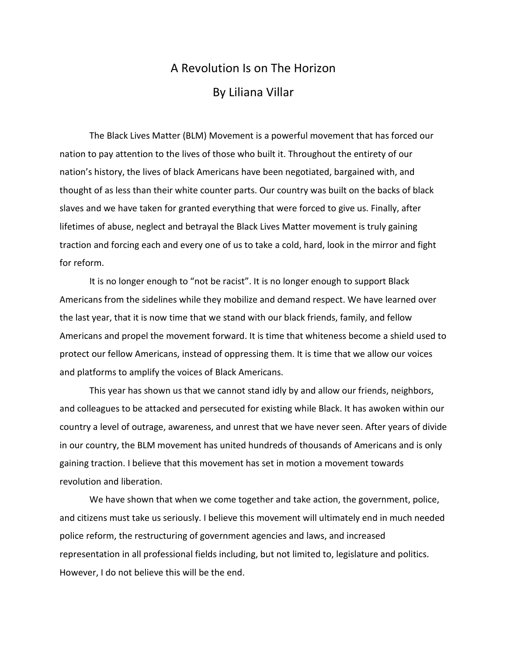## A Revolution Is on The Horizon By Liliana Villar

The Black Lives Matter (BLM) Movement is a powerful movement that has forced our nation to pay attention to the lives of those who built it. Throughout the entirety of our nation's history, the lives of black Americans have been negotiated, bargained with, and thought of as less than their white counter parts. Our country was built on the backs of black slaves and we have taken for granted everything that were forced to give us. Finally, after lifetimes of abuse, neglect and betrayal the Black Lives Matter movement is truly gaining traction and forcing each and every one of us to take a cold, hard, look in the mirror and fight for reform.

It is no longer enough to "not be racist". It is no longer enough to support Black Americans from the sidelines while they mobilize and demand respect. We have learned over the last year, that it is now time that we stand with our black friends, family, and fellow Americans and propel the movement forward. It is time that whiteness become a shield used to protect our fellow Americans, instead of oppressing them. It is time that we allow our voices and platforms to amplify the voices of Black Americans.

This year has shown us that we cannot stand idly by and allow our friends, neighbors, and colleagues to be attacked and persecuted for existing while Black. It has awoken within our country a level of outrage, awareness, and unrest that we have never seen. After years of divide in our country, the BLM movement has united hundreds of thousands of Americans and is only gaining traction. I believe that this movement has set in motion a movement towards revolution and liberation.

We have shown that when we come together and take action, the government, police, and citizens must take us seriously. I believe this movement will ultimately end in much needed police reform, the restructuring of government agencies and laws, and increased representation in all professional fields including, but not limited to, legislature and politics. However, I do not believe this will be the end.